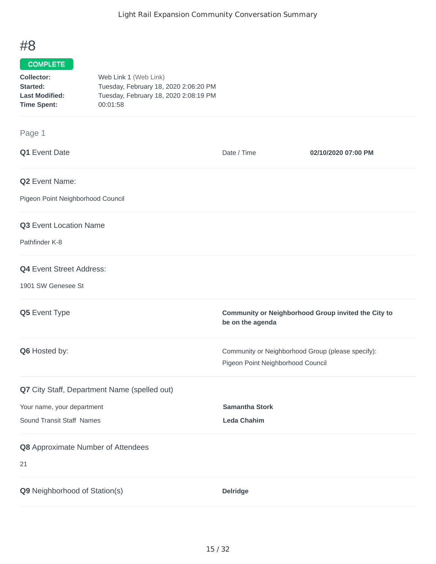## #8

## COMPLETE

| Collector:            | Web Link 1 (Web Link)                 |
|-----------------------|---------------------------------------|
| Started:              | Tuesday, February 18, 2020 2:06:20 PM |
| <b>Last Modified:</b> | Tuesday, February 18, 2020 2:08:19 PM |
| <b>Time Spent:</b>    | 00:01:58                              |

## Page 1

| Q1 Event Date                                | Date / Time                                                                            | 02/10/2020 07:00 PM |
|----------------------------------------------|----------------------------------------------------------------------------------------|---------------------|
| Q2 Event Name:                               |                                                                                        |                     |
| Pigeon Point Neighborhood Council            |                                                                                        |                     |
| Q3 Event Location Name                       |                                                                                        |                     |
| Pathfinder K-8                               |                                                                                        |                     |
| <b>Q4</b> Event Street Address:              |                                                                                        |                     |
| 1901 SW Genesee St                           |                                                                                        |                     |
| Q5 Event Type                                | Community or Neighborhood Group invited the City to<br>be on the agenda                |                     |
| Q6 Hosted by:                                | Community or Neighborhood Group (please specify):<br>Pigeon Point Neighborhood Council |                     |
| Q7 City Staff, Department Name (spelled out) |                                                                                        |                     |
| Your name, your department                   | <b>Samantha Stork</b>                                                                  |                     |
| Sound Transit Staff Names                    | <b>Leda Chahim</b>                                                                     |                     |
| Q8 Approximate Number of Attendees           |                                                                                        |                     |
| 21                                           |                                                                                        |                     |
| Q9 Neighborhood of Station(s)                | <b>Delridge</b>                                                                        |                     |